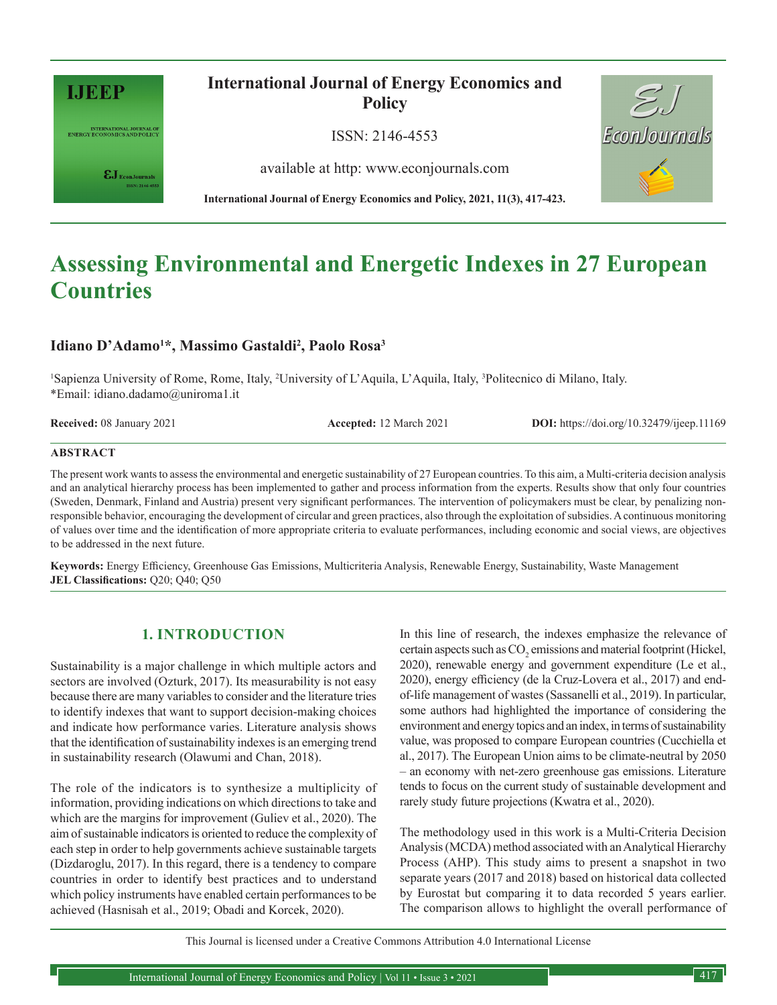

INTERNATIONAL JOURNAL OF<br>ENERGY ECONOMICS AND POLICY

 $\pmb{\varepsilon} \mathbf{J}_{\text{\tiny{EconJournals}}}$ 

**International Journal of Energy Economics and Policy**

ISSN: 2146-4553

available at http: www.econjournals.com



**International Journal of Energy Economics and Policy, 2021, 11(3), 417-423.**

# **Assessing Environmental and Energetic Indexes in 27 European Countries**

# **Idiano D'Adamo1 \*, Massimo Gastaldi2 , Paolo Rosa3**

1 Sapienza University of Rome, Rome, Italy, 2 University of L'Aquila, L'Aquila, Italy, 3 Politecnico di Milano, Italy. \*Email: idiano.dadamo@uniroma1.it

**Received:** 08 January 2021 **Accepted:** 12 March 2021 **DOI:** https://doi.org/10.32479/ijeep.11169

### **ABSTRACT**

The present work wants to assess the environmental and energetic sustainability of 27 European countries. To this aim, a Multi-criteria decision analysis and an analytical hierarchy process has been implemented to gather and process information from the experts. Results show that only four countries (Sweden, Denmark, Finland and Austria) present very significant performances. The intervention of policymakers must be clear, by penalizing nonresponsible behavior, encouraging the development of circular and green practices, also through the exploitation of subsidies. A continuous monitoring of values over time and the identification of more appropriate criteria to evaluate performances, including economic and social views, are objectives to be addressed in the next future.

**Keywords:** Energy Efficiency, Greenhouse Gas Emissions, Multicriteria Analysis, Renewable Energy, Sustainability, Waste Management **JEL Classifications:** Q20; Q40; Q50

# **1. INTRODUCTION**

Sustainability is a major challenge in which multiple actors and sectors are involved (Ozturk, 2017). Its measurability is not easy because there are many variables to consider and the literature tries to identify indexes that want to support decision-making choices and indicate how performance varies. Literature analysis shows that the identification of sustainability indexes is an emerging trend in sustainability research (Olawumi and Chan, 2018).

The role of the indicators is to synthesize a multiplicity of information, providing indications on which directions to take and which are the margins for improvement (Guliev et al., 2020). The aim of sustainable indicators is oriented to reduce the complexity of each step in order to help governments achieve sustainable targets (Dizdaroglu, 2017). In this regard, there is a tendency to compare countries in order to identify best practices and to understand which policy instruments have enabled certain performances to be achieved (Hasnisah et al., 2019; Obadi and Korcek, 2020).

In this line of research, the indexes emphasize the relevance of certain aspects such as  $\mathrm{CO}_2$  emissions and material footprint (Hickel, 2020), renewable energy and government expenditure (Le et al., 2020), energy efficiency (de la Cruz-Lovera et al., 2017) and endof-life management of wastes (Sassanelli et al., 2019). In particular, some authors had highlighted the importance of considering the environment and energy topics and an index, in terms of sustainability value, was proposed to compare European countries (Cucchiella et al., 2017). The European Union aims to be climate-neutral by 2050 – an economy with net-zero greenhouse gas emissions. Literature tends to focus on the current study of sustainable development and rarely study future projections (Kwatra et al., 2020).

The methodology used in this work is a Multi-Criteria Decision Analysis (MCDA) method associated with an Analytical Hierarchy Process (AHP). This study aims to present a snapshot in two separate years (2017 and 2018) based on historical data collected by Eurostat but comparing it to data recorded 5 years earlier. The comparison allows to highlight the overall performance of

This Journal is licensed under a Creative Commons Attribution 4.0 International License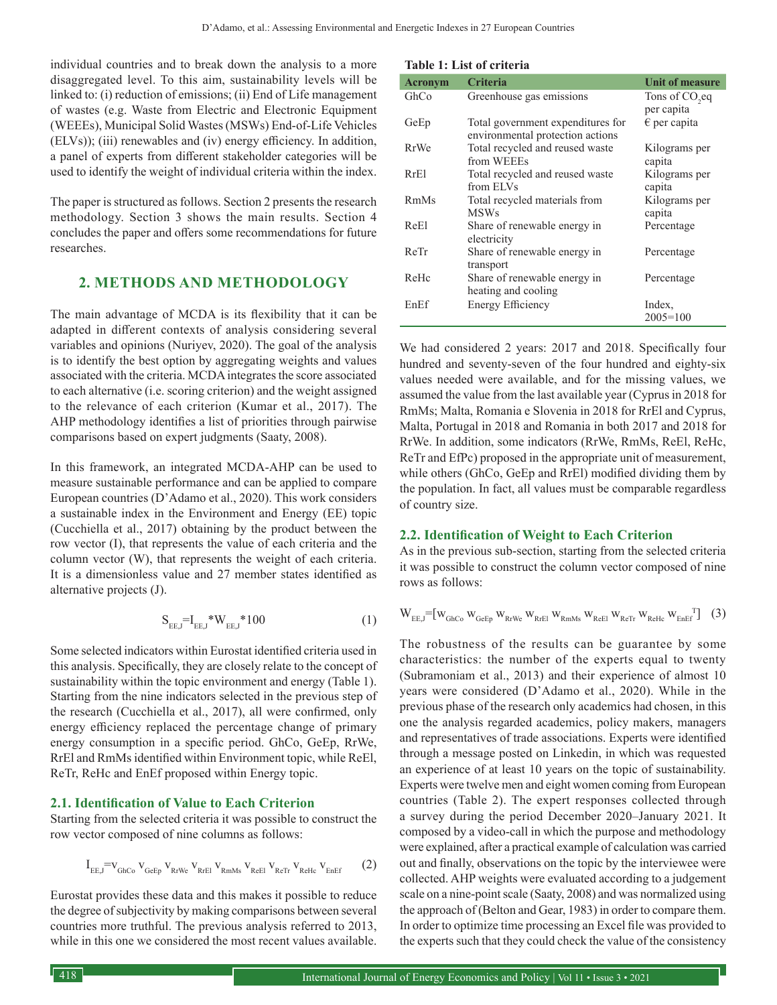individual countries and to break down the analysis to a more disaggregated level. To this aim, sustainability levels will be linked to: (i) reduction of emissions; (ii) End of Life management of wastes (e.g. Waste from Electric and Electronic Equipment (WEEEs), Municipal Solid Wastes (MSWs) End-of-Life Vehicles (ELVs)); (iii) renewables and (iv) energy efficiency. In addition, a panel of experts from different stakeholder categories will be used to identify the weight of individual criteria within the index.

The paper is structured as follows. Section 2 presents the research methodology. Section 3 shows the main results. Section 4 concludes the paper and offers some recommendations for future researches.

## **2. METHODS AND METHODOLOGY**

The main advantage of MCDA is its flexibility that it can be adapted in different contexts of analysis considering several variables and opinions (Nuriyev, 2020). The goal of the analysis is to identify the best option by aggregating weights and values associated with the criteria. MCDA integrates the score associated to each alternative (i.e. scoring criterion) and the weight assigned to the relevance of each criterion (Kumar et al., 2017). The AHP methodology identifies a list of priorities through pairwise comparisons based on expert judgments (Saaty, 2008).

In this framework, an integrated MCDA-AHP can be used to measure sustainable performance and can be applied to compare European countries (D'Adamo et al., 2020). This work considers a sustainable index in the Environment and Energy (EE) topic (Cucchiella et al., 2017) obtaining by the product between the row vector (I), that represents the value of each criteria and the column vector (W), that represents the weight of each criteria. It is a dimensionless value and 27 member states identified as alternative projects (J).

$$
S_{EE,J} = I_{EE,J} * W_{EE,J} * 100
$$
 (1)

Some selected indicators within Eurostat identified criteria used in this analysis. Specifically, they are closely relate to the concept of sustainability within the topic environment and energy (Table 1). Starting from the nine indicators selected in the previous step of the research (Cucchiella et al., 2017), all were confirmed, only energy efficiency replaced the percentage change of primary energy consumption in a specific period. GhCo, GeEp, RrWe, RrEl and RmMs identified within Environment topic, while ReEl, ReTr, ReHc and EnEf proposed within Energy topic.

## **2.1. Identification of Value to Each Criterion**

Starting from the selected criteria it was possible to construct the row vector composed of nine columns as follows:

$$
I_{\text{EE},J} = \mathbf{V}_{\text{GhCo}} \, \mathbf{V}_{\text{GeEp}} \, \mathbf{V}_{\text{RrWe}} \, \mathbf{V}_{\text{RrEl}} \, \mathbf{V}_{\text{RmMs}} \, \mathbf{V}_{\text{ReEl}} \, \mathbf{V}_{\text{ReTr}} \, \mathbf{V}_{\text{ReHe}} \, \mathbf{V}_{\text{EnEf}} \tag{2}
$$

Eurostat provides these data and this makes it possible to reduce the degree of subjectivity by making comparisons between several countries more truthful. The previous analysis referred to 2013, while in this one we considered the most recent values available.

| Table 1: List of criteria |  |  |  |  |  |
|---------------------------|--|--|--|--|--|
|---------------------------|--|--|--|--|--|

| <b>Acronym</b> | <b>Criteria</b>                                                       | <b>Unit of measure</b>     |
|----------------|-----------------------------------------------------------------------|----------------------------|
| GhCo           | Greenhouse gas emissions                                              | Tons of CO <sub>2</sub> eq |
|                |                                                                       | per capita                 |
| GeEp           | Total government expenditures for<br>environmental protection actions | $\epsilon$ per capita      |
| <b>RrWe</b>    | Total recycled and reused waste                                       | Kilograms per              |
|                | from WEEEs                                                            | capita                     |
| RrE1           | Total recycled and reused waste                                       | Kilograms per              |
|                | from ELVs                                                             | capita                     |
| RmMs           | Total recycled materials from                                         | Kilograms per              |
|                | <b>MSWs</b>                                                           | capita                     |
| ReEl           | Share of renewable energy in<br>electricity                           | Percentage                 |
| ReTr           | Share of renewable energy in<br>transport                             | Percentage                 |
| ReHc           | Share of renewable energy in                                          | Percentage                 |
|                | heating and cooling                                                   |                            |
| EnEf           | <b>Energy Efficiency</b>                                              | Index,                     |
|                |                                                                       | $2005 = 100$               |

We had considered 2 years: 2017 and 2018. Specifically four hundred and seventy-seven of the four hundred and eighty-six values needed were available, and for the missing values, we assumed the value from the last available year (Cyprus in 2018 for RmMs; Malta, Romania e Slovenia in 2018 for RrEl and Cyprus, Malta, Portugal in 2018 and Romania in both 2017 and 2018 for RrWe. In addition, some indicators (RrWe, RmMs, ReEl, ReHc, ReTr and EfPc) proposed in the appropriate unit of measurement, while others (GhCo, GeEp and RrEl) modified dividing them by the population. In fact, all values must be comparable regardless of country size.

## **2.2. Identification of Weight to Each Criterion**

As in the previous sub-section, starting from the selected criteria it was possible to construct the column vector composed of nine rows as follows:

$$
\mathbf{W}_{\text{EE},\text{J}}\text{=}\left[\mathbf{w}_{\text{GhCo}}\,\mathbf{w}_{\text{GeEp}}\,\mathbf{w}_{\text{RrWe}}\,\mathbf{w}_{\text{RrEl}}\,\mathbf{w}_{\text{RmMs}}\,\mathbf{w}_{\text{ReEl}}\,\mathbf{w}_{\text{ReTr}}\,\mathbf{w}_{\text{ReHe}}\,\mathbf{w}_{\text{EnEf}}^{\text{T}}\right]\tag{3}
$$

The robustness of the results can be guarantee by some characteristics: the number of the experts equal to twenty (Subramoniam et al., 2013) and their experience of almost 10 years were considered (D'Adamo et al., 2020). While in the previous phase of the research only academics had chosen, in this one the analysis regarded academics, policy makers, managers and representatives of trade associations. Experts were identified through a message posted on Linkedin, in which was requested an experience of at least 10 years on the topic of sustainability. Experts were twelve men and eight women coming from European countries (Table 2). The expert responses collected through a survey during the period December 2020–January 2021. It composed by a video-call in which the purpose and methodology were explained, after a practical example of calculation was carried out and finally, observations on the topic by the interviewee were collected. AHP weights were evaluated according to a judgement scale on a nine-point scale (Saaty, 2008) and was normalized using the approach of (Belton and Gear, 1983) in order to compare them. In order to optimize time processing an Excel file was provided to the experts such that they could check the value of the consistency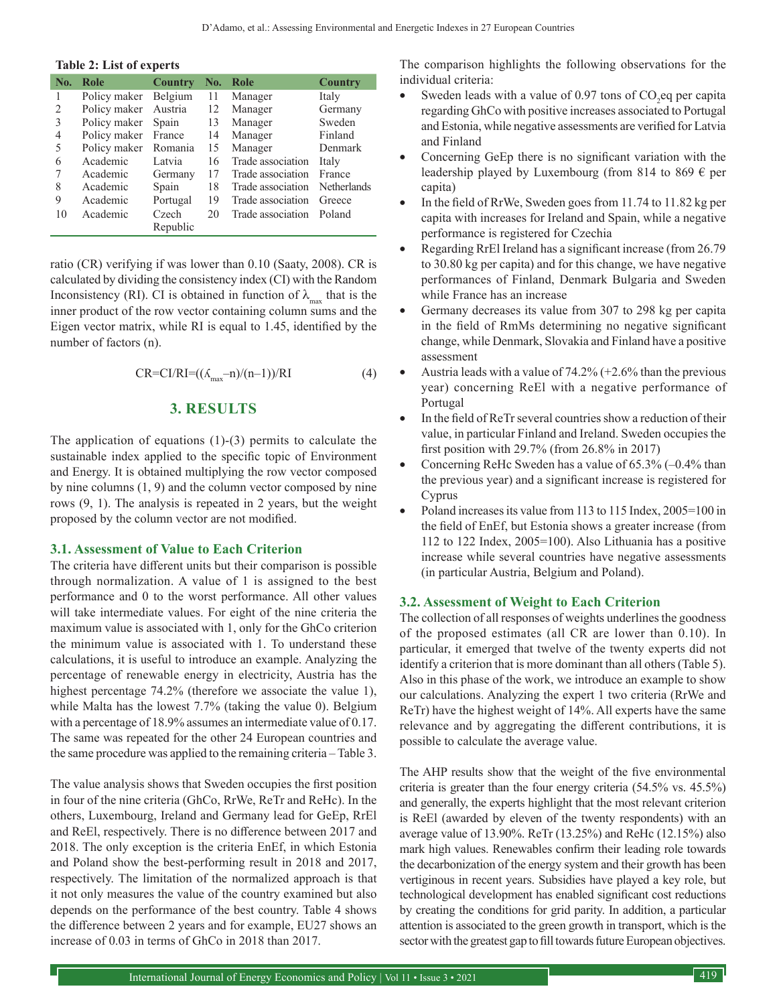#### **Table 2: List of experts**

| No.            | Role                  | <b>Country</b>    | No. | Role                             | <b>Country</b> |
|----------------|-----------------------|-------------------|-----|----------------------------------|----------------|
|                | Policy maker Belgium  |                   | 11  | Manager                          | Italy          |
| 2              | Policy maker Austria  |                   | 12  | Manager                          | Germany        |
| 3              | Policy maker Spain 13 |                   |     | Manager                          | Sweden         |
| $\overline{4}$ | Policy maker France   |                   | 14  | Manager                          | Finland        |
| 5              | Policy maker          | Romania           | 15  | Manager                          | Denmark        |
| 6              | Academic              | Latvia            | 16  | Trade association                | Italy          |
| 7              | Academic              | Germany           | 17  | Trade association                | France         |
| 8              | Academic              | Spain             |     | 18 Trade association Netherlands |                |
| 9              | Academic              | Portugal          | 19  | Trade association                | Greece         |
| 10             | Academic              | Czech<br>Republic | 20  | Trade association                | Poland         |

ratio (CR) verifying if was lower than 0.10 (Saaty, 2008). CR is calculated by dividing the consistency index (CI) with the Random Inconsistency (RI). CI is obtained in function of  $\lambda_{\text{max}}$  that is the inner product of the row vector containing column sums and the Eigen vector matrix, while RI is equal to 1.45, identified by the number of factors (n).

$$
CR=CI/RI=((\Lambda_{\text{max}}-n)/(n-1))/RI
$$
\n(4)

## **3. RESULTS**

The application of equations (1)-(3) permits to calculate the sustainable index applied to the specific topic of Environment and Energy. It is obtained multiplying the row vector composed by nine columns (1, 9) and the column vector composed by nine rows (9, 1). The analysis is repeated in 2 years, but the weight proposed by the column vector are not modified.

#### **3.1. Assessment of Value to Each Criterion**

The criteria have different units but their comparison is possible through normalization. A value of 1 is assigned to the best performance and 0 to the worst performance. All other values will take intermediate values. For eight of the nine criteria the maximum value is associated with 1, only for the GhCo criterion the minimum value is associated with 1. To understand these calculations, it is useful to introduce an example. Analyzing the percentage of renewable energy in electricity, Austria has the highest percentage 74.2% (therefore we associate the value 1), while Malta has the lowest 7.7% (taking the value 0). Belgium with a percentage of 18.9% assumes an intermediate value of 0.17. The same was repeated for the other 24 European countries and the same procedure was applied to the remaining criteria – Table 3.

The value analysis shows that Sweden occupies the first position in four of the nine criteria (GhCo, RrWe, ReTr and ReHc). In the others, Luxembourg, Ireland and Germany lead for GeEp, RrEl and ReEl, respectively. There is no difference between 2017 and 2018. The only exception is the criteria EnEf, in which Estonia and Poland show the best-performing result in 2018 and 2017, respectively. The limitation of the normalized approach is that it not only measures the value of the country examined but also depends on the performance of the best country. Table 4 shows the difference between 2 years and for example, EU27 shows an increase of 0.03 in terms of GhCo in 2018 than 2017.

The comparison highlights the following observations for the individual criteria:

- Sweden leads with a value of 0.97 tons of  $CO_2$ eq per capita regarding GhCo with positive increases associated to Portugal and Estonia, while negative assessments are verified for Latvia and Finland
- Concerning GeEp there is no significant variation with the leadership played by Luxembourg (from 814 to 869  $\epsilon$  per capita)
- In the field of RrWe, Sweden goes from 11.74 to 11.82 kg per capita with increases for Ireland and Spain, while a negative performance is registered for Czechia
- Regarding RrEl Ireland has a significant increase (from 26.79 to 30.80 kg per capita) and for this change, we have negative performances of Finland, Denmark Bulgaria and Sweden while France has an increase
- Germany decreases its value from 307 to 298 kg per capita in the field of RmMs determining no negative significant change, while Denmark, Slovakia and Finland have a positive assessment
- Austria leads with a value of  $74.2\%$  (+2.6% than the previous year) concerning ReEl with a negative performance of Portugal
- In the field of ReTr several countries show a reduction of their value, in particular Finland and Ireland. Sweden occupies the first position with 29.7% (from 26.8% in 2017)
- Concerning ReHc Sweden has a value of  $65.3\%$  (-0.4% than the previous year) and a significant increase is registered for Cyprus
- Poland increases its value from 113 to 115 Index, 2005=100 in the field of EnEf, but Estonia shows a greater increase (from 112 to 122 Index, 2005=100). Also Lithuania has a positive increase while several countries have negative assessments (in particular Austria, Belgium and Poland).

## **3.2. Assessment of Weight to Each Criterion**

The collection of all responses of weights underlines the goodness of the proposed estimates (all CR are lower than 0.10). In particular, it emerged that twelve of the twenty experts did not identify a criterion that is more dominant than all others (Table 5). Also in this phase of the work, we introduce an example to show our calculations. Analyzing the expert 1 two criteria (RrWe and ReTr) have the highest weight of 14%. All experts have the same relevance and by aggregating the different contributions, it is possible to calculate the average value.

The AHP results show that the weight of the five environmental criteria is greater than the four energy criteria (54.5% vs. 45.5%) and generally, the experts highlight that the most relevant criterion is ReEl (awarded by eleven of the twenty respondents) with an average value of 13.90%. ReTr (13.25%) and ReHc (12.15%) also mark high values. Renewables confirm their leading role towards the decarbonization of the energy system and their growth has been vertiginous in recent years. Subsidies have played a key role, but technological development has enabled significant cost reductions by creating the conditions for grid parity. In addition, a particular attention is associated to the green growth in transport, which is the sector with the greatest gap to fill towards future European objectives.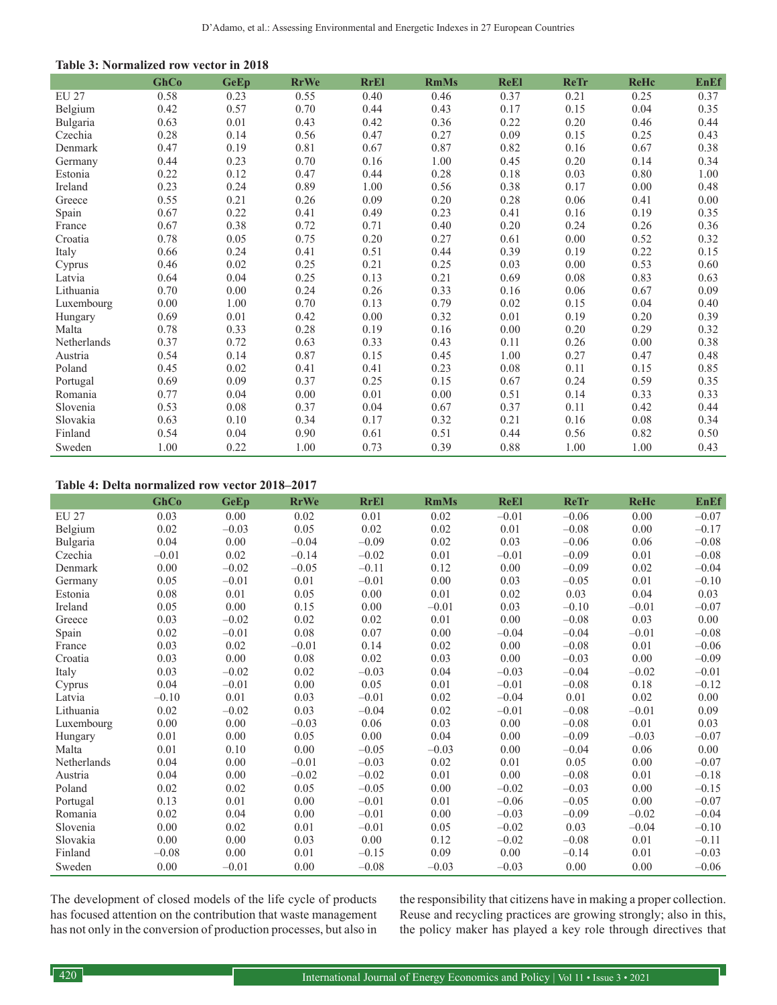|              | GhCo | <b>GeEp</b> | <b>RrWe</b> | <b>RrEl</b> | <b>RmMs</b> | <b>ReEl</b> | <b>ReTr</b> | <b>ReHc</b> | <b>EnEf</b> |
|--------------|------|-------------|-------------|-------------|-------------|-------------|-------------|-------------|-------------|
| <b>EU 27</b> | 0.58 | 0.23        | 0.55        | 0.40        | 0.46        | 0.37        | 0.21        | 0.25        | 0.37        |
| Belgium      | 0.42 | 0.57        | 0.70        | 0.44        | 0.43        | 0.17        | 0.15        | 0.04        | 0.35        |
| Bulgaria     | 0.63 | 0.01        | 0.43        | 0.42        | 0.36        | 0.22        | 0.20        | 0.46        | 0.44        |
| Czechia      | 0.28 | 0.14        | 0.56        | 0.47        | 0.27        | 0.09        | 0.15        | 0.25        | 0.43        |
| Denmark      | 0.47 | 0.19        | 0.81        | 0.67        | 0.87        | 0.82        | 0.16        | 0.67        | 0.38        |
| Germany      | 0.44 | 0.23        | 0.70        | 0.16        | 1.00        | 0.45        | 0.20        | 0.14        | 0.34        |
| Estonia      | 0.22 | 0.12        | 0.47        | 0.44        | 0.28        | 0.18        | 0.03        | 0.80        | 1.00        |
| Ireland      | 0.23 | 0.24        | 0.89        | 1.00        | 0.56        | 0.38        | 0.17        | 0.00        | 0.48        |
| Greece       | 0.55 | 0.21        | 0.26        | 0.09        | 0.20        | 0.28        | 0.06        | 0.41        | 0.00        |
| Spain        | 0.67 | 0.22        | 0.41        | 0.49        | 0.23        | 0.41        | 0.16        | 0.19        | 0.35        |
| France       | 0.67 | 0.38        | 0.72        | 0.71        | 0.40        | 0.20        | 0.24        | 0.26        | 0.36        |
| Croatia      | 0.78 | 0.05        | 0.75        | 0.20        | 0.27        | 0.61        | 0.00        | 0.52        | 0.32        |
| Italy        | 0.66 | 0.24        | 0.41        | 0.51        | 0.44        | 0.39        | 0.19        | 0.22        | 0.15        |
| Cyprus       | 0.46 | 0.02        | 0.25        | 0.21        | 0.25        | 0.03        | 0.00        | 0.53        | 0.60        |
| Latvia       | 0.64 | 0.04        | 0.25        | 0.13        | 0.21        | 0.69        | 0.08        | 0.83        | 0.63        |
| Lithuania    | 0.70 | 0.00        | 0.24        | 0.26        | 0.33        | 0.16        | 0.06        | 0.67        | 0.09        |
| Luxembourg   | 0.00 | 1.00        | 0.70        | 0.13        | 0.79        | 0.02        | 0.15        | 0.04        | 0.40        |
| Hungary      | 0.69 | 0.01        | 0.42        | 0.00        | 0.32        | 0.01        | 0.19        | 0.20        | 0.39        |
| Malta        | 0.78 | 0.33        | 0.28        | 0.19        | 0.16        | 0.00        | 0.20        | 0.29        | 0.32        |
| Netherlands  | 0.37 | 0.72        | 0.63        | 0.33        | 0.43        | 0.11        | 0.26        | 0.00        | 0.38        |
| Austria      | 0.54 | 0.14        | 0.87        | 0.15        | 0.45        | 1.00        | 0.27        | 0.47        | 0.48        |
| Poland       | 0.45 | 0.02        | 0.41        | 0.41        | 0.23        | 0.08        | 0.11        | 0.15        | 0.85        |
| Portugal     | 0.69 | 0.09        | 0.37        | 0.25        | 0.15        | 0.67        | 0.24        | 0.59        | 0.35        |
| Romania      | 0.77 | 0.04        | 0.00        | 0.01        | 0.00        | 0.51        | 0.14        | 0.33        | 0.33        |
| Slovenia     | 0.53 | 0.08        | 0.37        | 0.04        | 0.67        | 0.37        | 0.11        | 0.42        | 0.44        |
| Slovakia     | 0.63 | 0.10        | 0.34        | 0.17        | 0.32        | 0.21        | 0.16        | 0.08        | 0.34        |
| Finland      | 0.54 | 0.04        | 0.90        | 0.61        | 0.51        | 0.44        | 0.56        | 0.82        | 0.50        |
| Sweden       | 1.00 | 0.22        | 1.00        | 0.73        | 0.39        | 0.88        | 1.00        | 1.00        | 0.43        |

#### **Table 4: Delta normalized row vector 2018–2017**

|              | GhCo    | <b>GeEp</b> | <b>RrWe</b> | <b>RrEl</b> | <b>RmMs</b> | <b>ReEl</b> | <b>ReTr</b> | <b>ReHc</b> | <b>EnEf</b> |
|--------------|---------|-------------|-------------|-------------|-------------|-------------|-------------|-------------|-------------|
| <b>EU 27</b> | 0.03    | 0.00        | 0.02        | 0.01        | 0.02        | $-0.01$     | $-0.06$     | 0.00        | $-0.07$     |
| Belgium      | 0.02    | $-0.03$     | 0.05        | 0.02        | 0.02        | 0.01        | $-0.08$     | 0.00        | $-0.17$     |
| Bulgaria     | 0.04    | 0.00        | $-0.04$     | $-0.09$     | 0.02        | 0.03        | $-0.06$     | 0.06        | $-0.08$     |
| Czechia      | $-0.01$ | 0.02        | $-0.14$     | $-0.02$     | 0.01        | $-0.01$     | $-0.09$     | 0.01        | $-0.08$     |
| Denmark      | 0.00    | $-0.02$     | $-0.05$     | $-0.11$     | 0.12        | 0.00        | $-0.09$     | 0.02        | $-0.04$     |
| Germany      | 0.05    | $-0.01$     | 0.01        | $-0.01$     | 0.00        | 0.03        | $-0.05$     | 0.01        | $-0.10$     |
| Estonia      | 0.08    | 0.01        | 0.05        | 0.00        | 0.01        | 0.02        | 0.03        | 0.04        | 0.03        |
| Ireland      | 0.05    | 0.00        | 0.15        | 0.00        | $-0.01$     | 0.03        | $-0.10$     | $-0.01$     | $-0.07$     |
| Greece       | 0.03    | $-0.02$     | $0.02\,$    | 0.02        | 0.01        | 0.00        | $-0.08$     | 0.03        | 0.00        |
| Spain        | 0.02    | $-0.01$     | 0.08        | 0.07        | 0.00        | $-0.04$     | $-0.04$     | $-0.01$     | $-0.08$     |
| France       | 0.03    | 0.02        | $-0.01$     | 0.14        | 0.02        | 0.00        | $-0.08$     | 0.01        | $-0.06$     |
| Croatia      | 0.03    | 0.00        | 0.08        | 0.02        | 0.03        | 0.00        | $-0.03$     | 0.00        | $-0.09$     |
| Italy        | 0.03    | $-0.02$     | $0.02\,$    | $-0.03$     | 0.04        | $-0.03$     | $-0.04$     | $-0.02$     | $-0.01$     |
| Cyprus       | 0.04    | $-0.01$     | 0.00        | 0.05        | 0.01        | $-0.01$     | $-0.08$     | 0.18        | $-0.12$     |
| Latvia       | $-0.10$ | 0.01        | 0.03        | $-0.01$     | 0.02        | $-0.04$     | 0.01        | 0.02        | 0.00        |
| Lithuania    | 0.02    | $-0.02$     | 0.03        | $-0.04$     | 0.02        | $-0.01$     | $-0.08$     | $-0.01$     | 0.09        |
| Luxembourg   | 0.00    | 0.00        | $-0.03$     | 0.06        | 0.03        | 0.00        | $-0.08$     | 0.01        | 0.03        |
| Hungary      | 0.01    | 0.00        | 0.05        | 0.00        | 0.04        | 0.00        | $-0.09$     | $-0.03$     | $-0.07$     |
| Malta        | 0.01    | 0.10        | 0.00        | $-0.05$     | $-0.03$     | 0.00        | $-0.04$     | 0.06        | 0.00        |
| Netherlands  | 0.04    | 0.00        | $-0.01$     | $-0.03$     | 0.02        | 0.01        | 0.05        | 0.00        | $-0.07$     |
| Austria      | 0.04    | 0.00        | $-0.02$     | $-0.02$     | 0.01        | 0.00        | $-0.08$     | 0.01        | $-0.18$     |
| Poland       | 0.02    | 0.02        | 0.05        | $-0.05$     | 0.00        | $-0.02$     | $-0.03$     | 0.00        | $-0.15$     |
| Portugal     | 0.13    | 0.01        | 0.00        | $-0.01$     | 0.01        | $-0.06$     | $-0.05$     | 0.00        | $-0.07$     |
| Romania      | 0.02    | 0.04        | 0.00        | $-0.01$     | 0.00        | $-0.03$     | $-0.09$     | $-0.02$     | $-0.04$     |
| Slovenia     | 0.00    | 0.02        | 0.01        | $-0.01$     | 0.05        | $-0.02$     | 0.03        | $-0.04$     | $-0.10$     |
| Slovakia     | 0.00    | 0.00        | 0.03        | 0.00        | 0.12        | $-0.02$     | $-0.08$     | 0.01        | $-0.11$     |
| Finland      | $-0.08$ | 0.00        | 0.01        | $-0.15$     | 0.09        | 0.00        | $-0.14$     | 0.01        | $-0.03$     |
| Sweden       | 0.00    | $-0.01$     | 0.00        | $-0.08$     | $-0.03$     | $-0.03$     | 0.00        | 0.00        | $-0.06$     |

The development of closed models of the life cycle of products has focused attention on the contribution that waste management has not only in the conversion of production processes, but also in the responsibility that citizens have in making a proper collection. Reuse and recycling practices are growing strongly; also in this, the policy maker has played a key role through directives that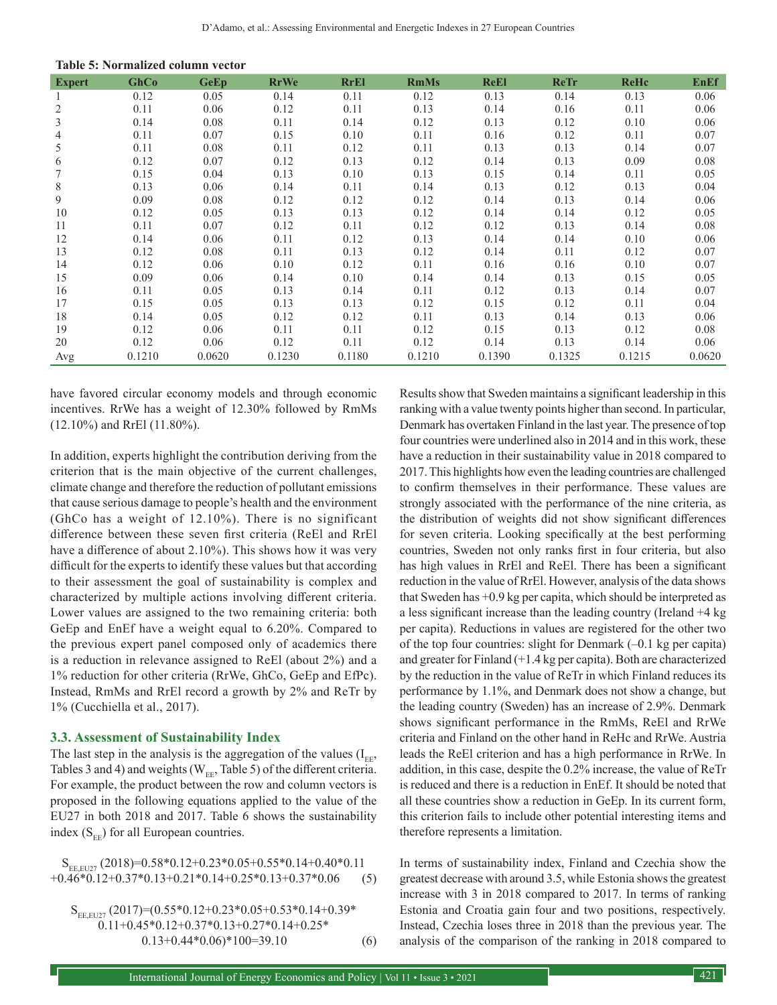**Table 5: Normalized column vector**

| <b>Expert</b> | GhCo   | <b>GeEp</b> | <b>RrWe</b> | <b>RrEl</b> | <b>RmMs</b> | <b>ReEl</b> | <b>ReTr</b> | ReHc   | <b>EnEf</b> |
|---------------|--------|-------------|-------------|-------------|-------------|-------------|-------------|--------|-------------|
|               | 0.12   | 0.05        | 0.14        | 0.11        | 0.12        | 0.13        | 0.14        | 0.13   | 0.06        |
| 2             | 0.11   | 0.06        | 0.12        | 0.11        | 0.13        | 0.14        | 0.16        | 0.11   | 0.06        |
| 3             | 0.14   | 0.08        | 0.11        | 0.14        | 0.12        | 0.13        | 0.12        | 0.10   | 0.06        |
| 4             | 0.11   | 0.07        | 0.15        | 0.10        | 0.11        | 0.16        | 0.12        | 0.11   | 0.07        |
| 5             | 0.11   | 0.08        | 0.11        | 0.12        | 0.11        | 0.13        | 0.13        | 0.14   | 0.07        |
| 6             | 0.12   | 0.07        | 0.12        | 0.13        | 0.12        | 0.14        | 0.13        | 0.09   | 0.08        |
|               | 0.15   | 0.04        | 0.13        | 0.10        | 0.13        | 0.15        | 0.14        | 0.11   | 0.05        |
| 8             | 0.13   | 0.06        | 0.14        | 0.11        | 0.14        | 0.13        | 0.12        | 0.13   | 0.04        |
| 9             | 0.09   | 0.08        | 0.12        | 0.12        | 0.12        | 0.14        | 0.13        | 0.14   | 0.06        |
| 10            | 0.12   | 0.05        | 0.13        | 0.13        | 0.12        | 0.14        | 0.14        | 0.12   | 0.05        |
| 11            | 0.11   | 0.07        | 0.12        | 0.11        | 0.12        | 0.12        | 0.13        | 0.14   | 0.08        |
| 12            | 0.14   | 0.06        | 0.11        | 0.12        | 0.13        | 0.14        | 0.14        | 0.10   | 0.06        |
| 13            | 0.12   | 0.08        | 0.11        | 0.13        | 0.12        | 0.14        | 0.11        | 0.12   | 0.07        |
| 14            | 0.12   | 0.06        | 0.10        | 0.12        | 0.11        | 0.16        | 0.16        | 0.10   | 0.07        |
| 15            | 0.09   | 0.06        | 0.14        | 0.10        | 0.14        | 0.14        | 0.13        | 0.15   | 0.05        |
| 16            | 0.11   | 0.05        | 0.13        | 0.14        | 0.11        | 0.12        | 0.13        | 0.14   | 0.07        |
| 17            | 0.15   | 0.05        | 0.13        | 0.13        | 0.12        | 0.15        | 0.12        | 0.11   | 0.04        |
| 18            | 0.14   | 0.05        | 0.12        | 0.12        | 0.11        | 0.13        | 0.14        | 0.13   | 0.06        |
| 19            | 0.12   | 0.06        | 0.11        | 0.11        | 0.12        | 0.15        | 0.13        | 0.12   | 0.08        |
| 20            | 0.12   | 0.06        | 0.12        | 0.11        | 0.12        | 0.14        | 0.13        | 0.14   | 0.06        |
| Avg           | 0.1210 | 0.0620      | 0.1230      | 0.1180      | 0.1210      | 0.1390      | 0.1325      | 0.1215 | 0.0620      |

have favored circular economy models and through economic incentives. RrWe has a weight of 12.30% followed by RmMs (12.10%) and RrEl (11.80%).

In addition, experts highlight the contribution deriving from the criterion that is the main objective of the current challenges, climate change and therefore the reduction of pollutant emissions that cause serious damage to people's health and the environment (GhCo has a weight of 12.10%). There is no significant difference between these seven first criteria (ReEl and RrEl have a difference of about 2.10%). This shows how it was very difficult for the experts to identify these values but that according to their assessment the goal of sustainability is complex and characterized by multiple actions involving different criteria. Lower values are assigned to the two remaining criteria: both GeEp and EnEf have a weight equal to 6.20%. Compared to the previous expert panel composed only of academics there is a reduction in relevance assigned to ReEl (about 2%) and a 1% reduction for other criteria (RrWe, GhCo, GeEp and EfPc). Instead, RmMs and RrEl record a growth by 2% and ReTr by 1% (Cucchiella et al., 2017).

#### **3.3. Assessment of Sustainability Index**

The last step in the analysis is the aggregation of the values  $(I_{\text{FE}},$ Tables 3 and 4) and weights ( $W_{EE}$ , Table 5) of the different criteria. For example, the product between the row and column vectors is proposed in the following equations applied to the value of the EU27 in both 2018 and 2017. Table 6 shows the sustainability index  $(S_{EF})$  for all European countries.

 $S_{\text{EE,EU27}}(2018)=0.58*0.12+0.23*0.05+0.55*0.14+0.40*0.11$ <br> $0.46*0.12+0.37*0.13+0.21*0.14+0.25*0.13+0.37*0.06$  (5)  $+0.46*0.12+0.37*0.13+0.21*0.14+0.25*0.13+0.37*0.06$ 

 $S_{EE,EU27}$  (2017)=(0.55\*0.12+0.23\*0.05+0.53\*0.14+0.39\* 0.11+0.45\*0.12+0.37\*0.13+0.27\*0.14+0.25\*  $0.13+0.44*0.06)*100=39.10$  (6) Results show that Sweden maintains a significant leadership in this ranking with a value twenty points higher than second. In particular, Denmark has overtaken Finland in the last year. The presence of top four countries were underlined also in 2014 and in this work, these have a reduction in their sustainability value in 2018 compared to 2017. This highlights how even the leading countries are challenged to confirm themselves in their performance. These values are strongly associated with the performance of the nine criteria, as the distribution of weights did not show significant differences for seven criteria. Looking specifically at the best performing countries, Sweden not only ranks first in four criteria, but also has high values in RrEl and ReEl. There has been a significant reduction in the value of RrEl. However, analysis of the data shows that Sweden has +0.9 kg per capita, which should be interpreted as a less significant increase than the leading country (Ireland +4 kg per capita). Reductions in values are registered for the other two of the top four countries: slight for Denmark (–0.1 kg per capita) and greater for Finland (+1.4 kg per capita). Both are characterized by the reduction in the value of ReTr in which Finland reduces its performance by 1.1%, and Denmark does not show a change, but the leading country (Sweden) has an increase of 2.9%. Denmark shows significant performance in the RmMs, ReEl and RrWe criteria and Finland on the other hand in ReHc and RrWe. Austria leads the ReEl criterion and has a high performance in RrWe. In addition, in this case, despite the 0.2% increase, the value of ReTr is reduced and there is a reduction in EnEf. It should be noted that all these countries show a reduction in GeEp. In its current form, this criterion fails to include other potential interesting items and therefore represents a limitation.

In terms of sustainability index, Finland and Czechia show the greatest decrease with around 3.5, while Estonia shows the greatest increase with 3 in 2018 compared to 2017. In terms of ranking Estonia and Croatia gain four and two positions, respectively. Instead, Czechia loses three in 2018 than the previous year. The analysis of the comparison of the ranking in 2018 compared to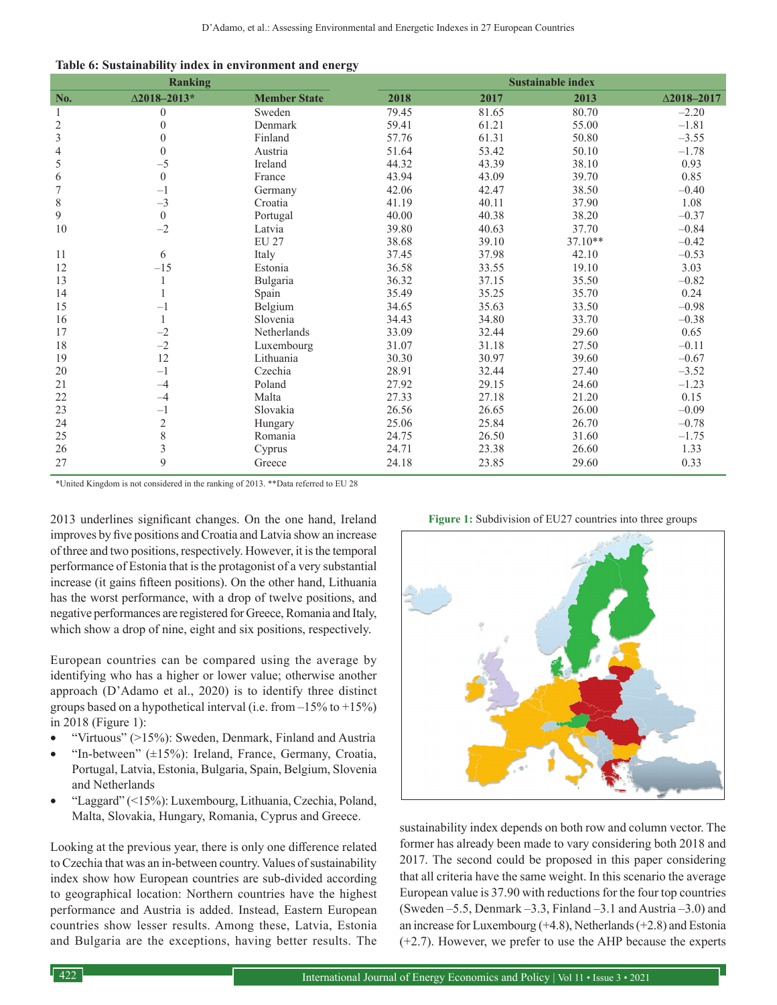|  |  |  | Table 6: Sustainability index in environment and energy |  |
|--|--|--|---------------------------------------------------------|--|
|  |  |  |                                                         |  |

|                         | <b>Ranking</b>      |                     | <b>Sustainable index</b> |       |           |                    |  |  |
|-------------------------|---------------------|---------------------|--------------------------|-------|-----------|--------------------|--|--|
| No.                     | $\Delta$ 2018-2013* | <b>Member State</b> | 2018                     | 2017  | 2013      | $\Delta$ 2018-2017 |  |  |
| 1                       | $\overline{0}$      | Sweden              | 79.45                    | 81.65 | 80.70     | $-2.20$            |  |  |
| $\sqrt{2}$              | $\theta$            | Denmark             | 59.41                    | 61.21 | 55.00     | $-1.81$            |  |  |
| $\overline{\mathbf{3}}$ | $\theta$            | Finland             | 57.76                    | 61.31 | 50.80     | $-3.55$            |  |  |
| $\overline{4}$          | $\Omega$            | Austria             | 51.64                    | 53.42 | 50.10     | $-1.78$            |  |  |
| 5                       | $-5$                | Ireland             | 44.32                    | 43.39 | 38.10     | 0.93               |  |  |
| 6                       | $\theta$            | France              | 43.94                    | 43.09 | 39.70     | 0.85               |  |  |
| $\overline{7}$          | $-1$                | Germany             | 42.06                    | 42.47 | 38.50     | $-0.40$            |  |  |
| $\,$ 8 $\,$             | $-3$                | Croatia             | 41.19                    | 40.11 | 37.90     | 1.08               |  |  |
| 9                       | $\theta$            | Portugal            | 40.00                    | 40.38 | 38.20     | $-0.37$            |  |  |
| 10                      | $-2$                | Latvia              | 39.80                    | 40.63 | 37.70     | $-0.84$            |  |  |
|                         |                     | <b>EU 27</b>        | 38.68                    | 39.10 | $37.10**$ | $-0.42$            |  |  |
| 11                      | 6                   | Italy               | 37.45                    | 37.98 | 42.10     | $-0.53$            |  |  |
| 12                      | $-15$               | Estonia             | 36.58                    | 33.55 | 19.10     | 3.03               |  |  |
| 13                      |                     | Bulgaria            | 36.32                    | 37.15 | 35.50     | $-0.82$            |  |  |
| 14                      |                     | Spain               | 35.49                    | 35.25 | 35.70     | 0.24               |  |  |
| 15                      | $-1$                | Belgium             | 34.65                    | 35.63 | 33.50     | $-0.98$            |  |  |
| 16                      |                     | Slovenia            | 34.43                    | 34.80 | 33.70     | $-0.38$            |  |  |
| 17                      | $-2$                | Netherlands         | 33.09                    | 32.44 | 29.60     | 0.65               |  |  |
| 18                      | $-2$                | Luxembourg          | 31.07                    | 31.18 | 27.50     | $-0.11$            |  |  |
| 19                      | 12                  | Lithuania           | 30.30                    | 30.97 | 39.60     | $-0.67$            |  |  |
| 20                      | $-1$                | Czechia             | 28.91                    | 32.44 | 27.40     | $-3.52$            |  |  |
| 21                      | $-4$                | Poland              | 27.92                    | 29.15 | 24.60     | $-1.23$            |  |  |
| 22                      | $-4$                | Malta               | 27.33                    | 27.18 | 21.20     | 0.15               |  |  |
| 23                      | $-1$                | Slovakia            | 26.56                    | 26.65 | 26.00     | $-0.09$            |  |  |
| 24                      | $\overline{c}$      | Hungary             | 25.06                    | 25.84 | 26.70     | $-0.78$            |  |  |
| 25                      | 8                   | Romania             | 24.75                    | 26.50 | 31.60     | $-1.75$            |  |  |
| 26                      | $\overline{3}$      | Cyprus              | 24.71                    | 23.38 | 26.60     | 1.33               |  |  |
| 27                      | 9                   | Greece              | 24.18                    | 23.85 | 29.60     | 0.33               |  |  |

\*United Kingdom is not considered in the ranking of 2013. \*\*Data referred to EU 28

2013 underlines significant changes. On the one hand, Ireland improves by five positions and Croatia and Latvia show an increase of three and two positions, respectively. However, it is the temporal performance of Estonia that is the protagonist of a very substantial increase (it gains fifteen positions). On the other hand, Lithuania has the worst performance, with a drop of twelve positions, and negative performances are registered for Greece, Romania and Italy, which show a drop of nine, eight and six positions, respectively.

European countries can be compared using the average by identifying who has a higher or lower value; otherwise another approach (D'Adamo et al., 2020) is to identify three distinct groups based on a hypothetical interval (i.e. from  $-15\%$  to  $+15\%)$ in 2018 (Figure 1):

- "Virtuous" (>15%): Sweden, Denmark, Finland and Austria
- "In-between"  $(\pm 15\%)$ : Ireland, France, Germany, Croatia, Portugal, Latvia, Estonia, Bulgaria, Spain, Belgium, Slovenia and Netherlands
- • "Laggard" (<15%): Luxembourg, Lithuania, Czechia, Poland, Malta, Slovakia, Hungary, Romania, Cyprus and Greece.

Looking at the previous year, there is only one difference related to Czechia that was an in-between country. Values of sustainability index show how European countries are sub-divided according to geographical location: Northern countries have the highest performance and Austria is added. Instead, Eastern European countries show lesser results. Among these, Latvia, Estonia and Bulgaria are the exceptions, having better results. The



sustainability index depends on both row and column vector. The former has already been made to vary considering both 2018 and 2017. The second could be proposed in this paper considering that all criteria have the same weight. In this scenario the average European value is 37.90 with reductions for the four top countries (Sweden –5.5, Denmark –3.3, Finland –3.1 and Austria –3.0) and an increase for Luxembourg  $(+4.8)$ , Netherlands  $(+2.8)$  and Estonia (+2.7). However, we prefer to use the AHP because the experts

**Figure 1:** Subdivision of EU27 countries into three groups